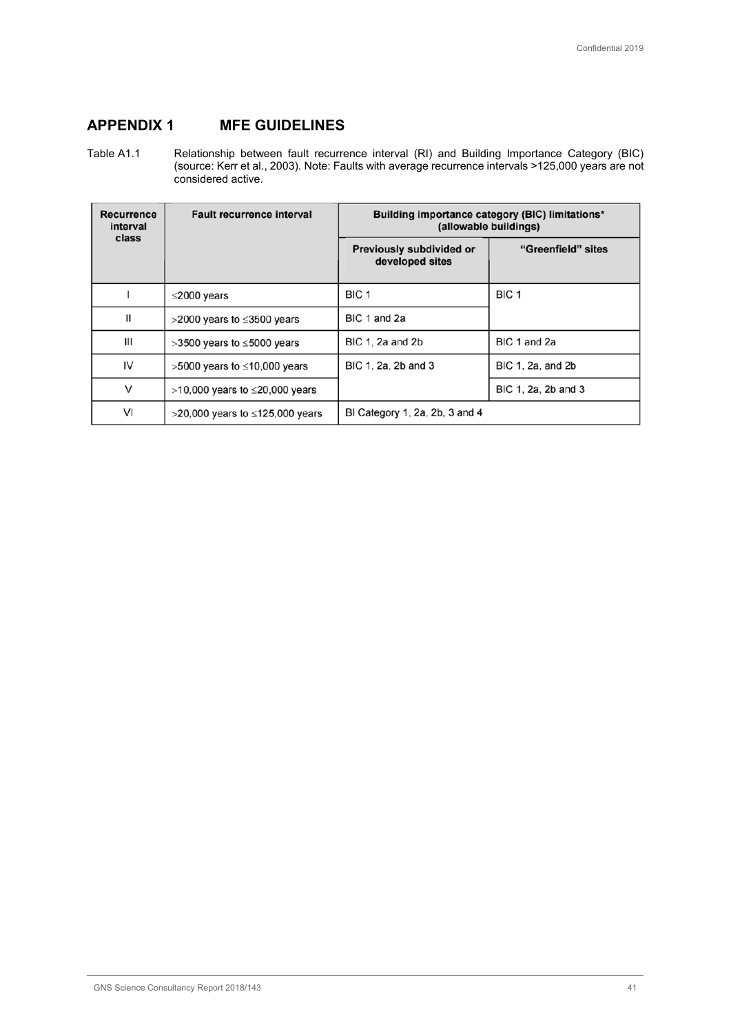## **APPENDIX 1 MFE GUIDELINES**

Table A1.1 Relationship between fault recurrence interval (RI) and Building Importance Category (BIC) (source: Kerr et al., 2003). Note: Faults with average recurrence intervals >125,000 years are not considered active.

| Recurrence<br>interval | <b>Fault recurrence interval</b>       | Building importance category (BIC) limitations*<br>(allowable buildings) |                     |
|------------------------|----------------------------------------|--------------------------------------------------------------------------|---------------------|
| class                  |                                        | Previously subdivided or<br>developed sites                              | "Greenfield" sites  |
|                        | $\leq$ 2000 years                      | BIC <sub>1</sub>                                                         | BIC <sub>1</sub>    |
| Ш                      | $>$ 2000 years to $\leq$ 3500 years    | BIC 1 and 2a                                                             |                     |
| III                    | $>3500$ years to $\leq 5000$ years     | BIC 1, 2a and 2b                                                         | BIC 1 and 2a        |
| IV                     | $>5000$ years to $\leq 10,000$ years   | BIC 1, 2a, 2b and 3                                                      | BIC 1, 2a, and 2b   |
| $\vee$                 | $>10,000$ years to $\leq$ 20,000 years |                                                                          | BIC 1, 2a, 2b and 3 |
| VI                     | >20,000 years to ≤125,000 years        | BI Category 1, 2a, 2b, 3 and 4                                           |                     |